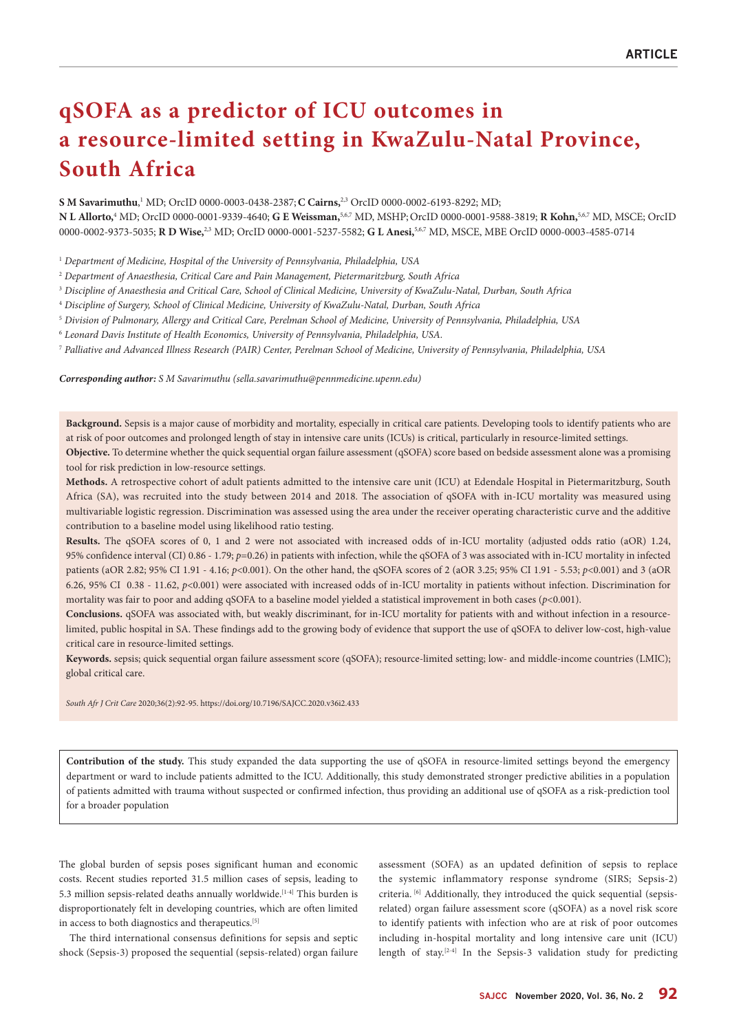# **qSOFA as a predictor of ICU outcomes in a resource-limited setting in KwaZulu-Natal Province, South Africa**

**S M Savarimuthu**, 1 MD; OrcID 0000-0003-0438-2387;**C Cairns,**2,3 OrcID 0000-0002-6193-8292; MD; **N L Allorto,**<sup>4</sup> MD; OrcID 0000-0001-9339-4640; **G E Weissman,**5,6,7 MD, MSHP;OrcID 0000-0001-9588-3819; **R Kohn,**5,6,7 MD, MSCE; OrcID 0000-0002-9373-5035; **R D Wise,**2,3 MD; OrcID 0000-0001-5237-5582; **G L Anesi,**5,6,7 MD, MSCE, MBE OrcID 0000-0003-4585-0714

1  *Department of Medicine, Hospital of the University of Pennsylvania, Philadelphia, USA*

- 2  *Department of Anaesthesia, Critical Care and Pain Management, Pietermaritzburg, South Africa*
- <sup>3</sup> *Discipline of Anaesthesia and Critical Care, School of Clinical Medicine, University of KwaZulu-Natal, Durban, South Africa*
- 4  *Discipline of Surgery, School of Clinical Medicine, University of KwaZulu-Natal, Durban, South Africa*
- 5  *Division of Pulmonary, Allergy and Critical Care, Perelman School of Medicine, University of Pennsylvania, Philadelphia, USA*
- 6  *Leonard Davis Institute of Health Economics, University of Pennsylvania, Philadelphia, USA.*
- 7  *Palliative and Advanced Illness Research (PAIR) Center, Perelman School of Medicine, University of Pennsylvania, Philadelphia, USA*

*Corresponding author: S M Savarimuthu (sella.savarimuthu@pennmedicine.upenn.edu)*

**Background.** Sepsis is a major cause of morbidity and mortality, especially in critical care patients. Developing tools to identify patients who are at risk of poor outcomes and prolonged length of stay in intensive care units (ICUs) is critical, particularly in resource-limited settings.

**Objective.** To determine whether the quick sequential organ failure assessment (qSOFA) score based on bedside assessment alone was a promising tool for risk prediction in low-resource settings.

**Methods.** A retrospective cohort of adult patients admitted to the intensive care unit (ICU) at Edendale Hospital in Pietermaritzburg, South Africa (SA), was recruited into the study between 2014 and 2018. The association of qSOFA with in-ICU mortality was measured using multivariable logistic regression. Discrimination was assessed using the area under the receiver operating characteristic curve and the additive contribution to a baseline model using likelihood ratio testing.

**Results.** The qSOFA scores of 0, 1 and 2 were not associated with increased odds of in-ICU mortality (adjusted odds ratio (aOR) 1.24, 95% confidence interval (CI) 0.86 - 1.79; *p*=0.26) in patients with infection, while the qSOFA of 3 was associated with in-ICU mortality in infected patients (aOR 2.82; 95% CI 1.91 - 4.16; *p*<0.001). On the other hand, the qSOFA scores of 2 (aOR 3.25; 95% CI 1.91 - 5.53; *p*<0.001) and 3 (aOR 6.26, 95% CI 0.38 - 11.62, *p*<0.001) were associated with increased odds of in-ICU mortality in patients without infection. Discrimination for mortality was fair to poor and adding qSOFA to a baseline model yielded a statistical improvement in both cases (*p*<0.001).

**Conclusions.** qSOFA was associated with, but weakly discriminant, for in-ICU mortality for patients with and without infection in a resourcelimited, public hospital in SA. These findings add to the growing body of evidence that support the use of qSOFA to deliver low-cost, high-value critical care in resource-limited settings.

**Keywords.** sepsis; quick sequential organ failure assessment score (qSOFA); resource-limited setting; low- and middle-income countries (LMIC); global critical care.

**Contribution of the study.** This study expanded the data supporting the use of qSOFA in resource-limited settings beyond the emergency department or ward to include patients admitted to the ICU. Additionally, this study demonstrated stronger predictive abilities in a population of patients admitted with trauma without suspected or confirmed infection, thus providing an additional use of qSOFA as a risk-prediction tool for a broader population

The global burden of sepsis poses significant human and economic costs. Recent studies reported 31.5 million cases of sepsis, leading to 5.3 million sepsis-related deaths annually worldwide.<sup>[1-4]</sup> This burden is disproportionately felt in developing countries, which are often limited in access to both diagnostics and therapeutics.<sup>[5]</sup>

The third international consensus definitions for sepsis and septic shock (Sepsis-3) proposed the sequential (sepsis-related) organ failure

assessment (SOFA) as an updated definition of sepsis to replace the systemic inflammatory response syndrome (SIRS; Sepsis-2) criteria.<sup>[6]</sup> Additionally, they introduced the quick sequential (sepsisrelated) organ failure assessment score (qSOFA) as a novel risk score to identify patients with infection who are at risk of poor outcomes including in-hospital mortality and long intensive care unit (ICU) length of stay.<sup>[2-4]</sup> In the Sepsis-3 validation study for predicting

*South Afr J Crit Care* 2020;36(2):92-95. https://doi.org/10.7196/SAJCC.2020.v36i2.433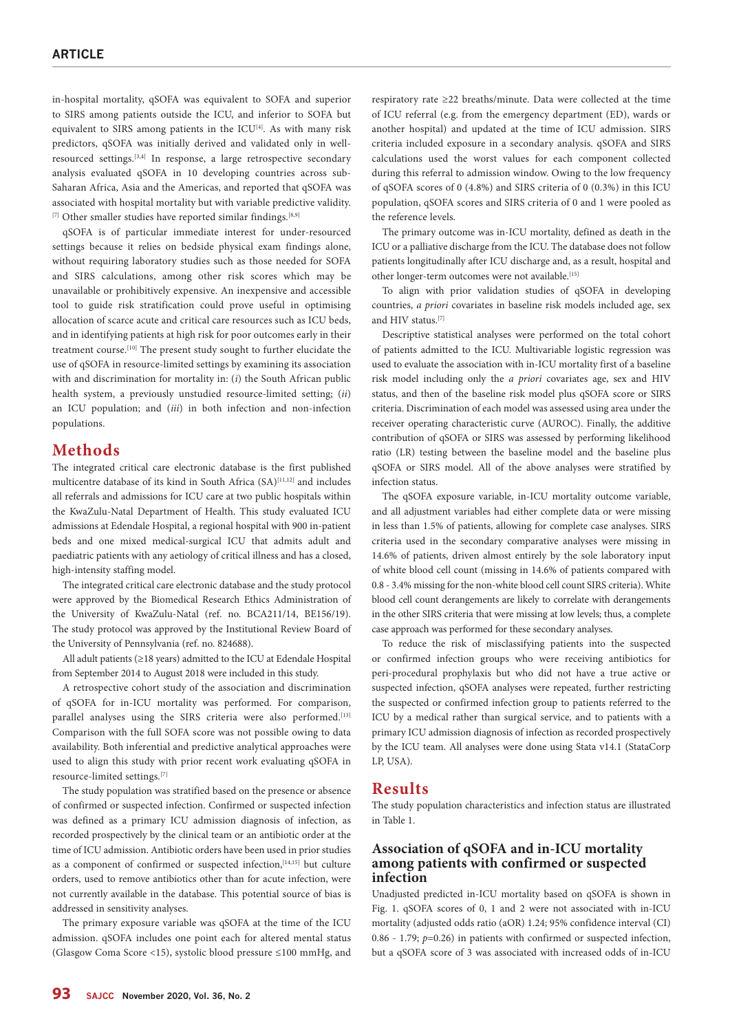in-hospital mortality, qSOFA was equivalent to SOFA and superior to SIRS among patients outside the ICU, and inferior to SOFA but equivalent to SIRS among patients in the ICU<sup>[4]</sup>. As with many risk predictors, qSOFA was initially derived and validated only in wellresourced settings.[3,4] In response, a large retrospective secondary analysis evaluated qSOFA in 10 developing countries across sub-Saharan Africa, Asia and the Americas, and reported that qSOFA was associated with hospital mortality but with variable predictive validity. [7] Other smaller studies have reported similar findings.<sup>[8,9]</sup>

qSOFA is of particular immediate interest for under-resourced settings because it relies on bedside physical exam findings alone, without requiring laboratory studies such as those needed for SOFA and SIRS calculations, among other risk scores which may be unavailable or prohibitively expensive. An inexpensive and accessible tool to guide risk stratification could prove useful in optimising allocation of scarce acute and critical care resources such as ICU beds, and in identifying patients at high risk for poor outcomes early in their treatment course.[10] The present study sought to further elucidate the use of qSOFA in resource-limited settings by examining its association with and discrimination for mortality in: (*i*) the South African public health system, a previously unstudied resource-limited setting; (*ii*) an ICU population; and (*iii*) in both infection and non-infection populations.

## **Methods**

The integrated critical care electronic database is the first published multicentre database of its kind in South Africa (SA)<sup>[11,12]</sup> and includes all referrals and admissions for ICU care at two public hospitals within the KwaZulu-Natal Department of Health. This study evaluated ICU admissions at Edendale Hospital, a regional hospital with 900 in-patient beds and one mixed medical-surgical ICU that admits adult and paediatric patients with any aetiology of critical illness and has a closed, high-intensity staffing model.

The integrated critical care electronic database and the study protocol were approved by the Biomedical Research Ethics Administration of the University of KwaZulu-Natal (ref. no. BCA211/14, BE156/19). The study protocol was approved by the Institutional Review Board of the University of Pennsylvania (ref. no. 824688).

All adult patients (≥18 years) admitted to the ICU at Edendale Hospital from September 2014 to August 2018 were included in this study.

A retrospective cohort study of the association and discrimination of qSOFA for in-ICU mortality was performed. For comparison, parallel analyses using the SIRS criteria were also performed.[13] Comparison with the full SOFA score was not possible owing to data availability. Both inferential and predictive analytical approaches were used to align this study with prior recent work evaluating qSOFA in resource-limited settings.[7]

The study population was stratified based on the presence or absence of confirmed or suspected infection. Confirmed or suspected infection was defined as a primary ICU admission diagnosis of infection, as recorded prospectively by the clinical team or an antibiotic order at the time of ICU admission. Antibiotic orders have been used in prior studies as a component of confirmed or suspected infection,<sup>[14,15]</sup> but culture orders, used to remove antibiotics other than for acute infection, were not currently available in the database. This potential source of bias is addressed in sensitivity analyses.

The primary exposure variable was qSOFA at the time of the ICU admission. qSOFA includes one point each for altered mental status (Glasgow Coma Score <15), systolic blood pressure ≤100 mmHg, and

respiratory rate ≥22 breaths/minute. Data were collected at the time of ICU referral (e.g. from the emergency department (ED), wards or another hospital) and updated at the time of ICU admission. SIRS criteria included exposure in a secondary analysis. qSOFA and SIRS calculations used the worst values for each component collected during this referral to admission window. Owing to the low frequency of qSOFA scores of 0 (4.8%) and SIRS criteria of 0 (0.3%) in this ICU population, qSOFA scores and SIRS criteria of 0 and 1 were pooled as the reference levels.

The primary outcome was in-ICU mortality, defined as death in the ICU or a palliative discharge from the ICU. The database does not follow patients longitudinally after ICU discharge and, as a result, hospital and other longer-term outcomes were not available.[15]

To align with prior validation studies of qSOFA in developing countries, *a priori* covariates in baseline risk models included age, sex and HIV status.[7]

Descriptive statistical analyses were performed on the total cohort of patients admitted to the ICU. Multivariable logistic regression was used to evaluate the association with in-ICU mortality first of a baseline risk model including only the *a priori* covariates age, sex and HIV status, and then of the baseline risk model plus qSOFA score or SIRS criteria. Discrimination of each model was assessed using area under the receiver operating characteristic curve (AUROC). Finally, the additive contribution of qSOFA or SIRS was assessed by performing likelihood ratio (LR) testing between the baseline model and the baseline plus qSOFA or SIRS model. All of the above analyses were stratified by infection status.

The qSOFA exposure variable, in-ICU mortality outcome variable, and all adjustment variables had either complete data or were missing in less than 1.5% of patients, allowing for complete case analyses. SIRS criteria used in the secondary comparative analyses were missing in 14.6% of patients, driven almost entirely by the sole laboratory input of white blood cell count (missing in 14.6% of patients compared with 0.8 - 3.4% missing for the non-white blood cell count SIRS criteria). White blood cell count derangements are likely to correlate with derangements in the other SIRS criteria that were missing at low levels; thus, a complete case approach was performed for these secondary analyses.

To reduce the risk of misclassifying patients into the suspected or confirmed infection groups who were receiving antibiotics for peri-procedural prophylaxis but who did not have a true active or suspected infection, qSOFA analyses were repeated, further restricting the suspected or confirmed infection group to patients referred to the ICU by a medical rather than surgical service, and to patients with a primary ICU admission diagnosis of infection as recorded prospectively by the ICU team. All analyses were done using Stata v14.1 (StataCorp LP, USA).

#### **Results**

The study population characteristics and infection status are illustrated in Table 1.

### **Association of qSOFA and in-ICU mortality among patients with confirmed or suspected infection**

Unadjusted predicted in-ICU mortality based on qSOFA is shown in Fig. 1. qSOFA scores of 0, 1 and 2 were not associated with in-ICU mortality (adjusted odds ratio (aOR) 1.24; 95% confidence interval (CI) 0.86 - 1.79; *p*=0.26) in patients with confirmed or suspected infection, but a qSOFA score of 3 was associated with increased odds of in-ICU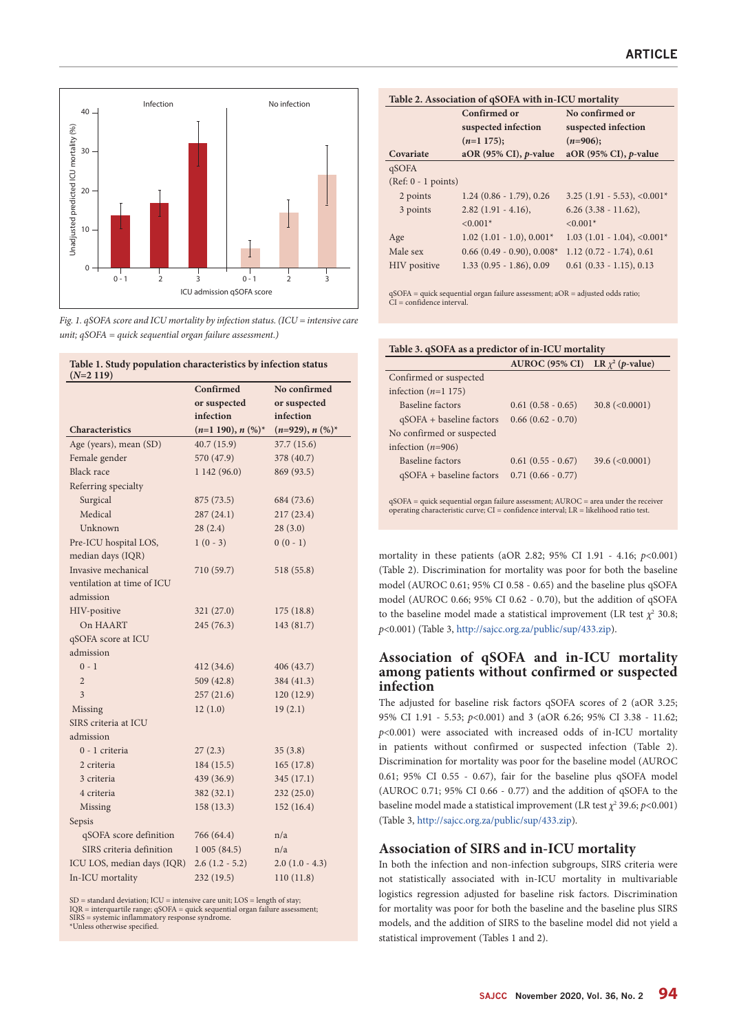

*Fig. 1. qSOFA score and ICU mortality by infection status. (ICU = intensive care unit; qSOFA = quick sequential organ failure assessment.)*

**Table 1. Study population characteristics by infection status** 

| low 1. Statey population characteristics by infection status<br>$(N=2119)$ |                      |                    |
|----------------------------------------------------------------------------|----------------------|--------------------|
|                                                                            | Confirmed            | No confirmed       |
|                                                                            | or suspected         | or suspected       |
|                                                                            | infection            | infection          |
| Characteristics                                                            | $(n=1 190), n (%)^*$ | $(n=929), n (%)^*$ |
| Age (years), mean (SD)                                                     | 40.7(15.9)           | 37.7(15.6)         |
| Female gender                                                              | 570 (47.9)           | 378 (40.7)         |
| <b>Black</b> race                                                          | 1142(96.0)           | 869 (93.5)         |
| Referring specialty                                                        |                      |                    |
| Surgical                                                                   | 875 (73.5)           | 684 (73.6)         |
| Medical                                                                    | 287(24.1)            | 217(23.4)          |
| Unknown                                                                    | 28(2.4)              | 28(3.0)            |
| Pre-ICU hospital LOS,                                                      | $1(0-3)$             | $0(0-1)$           |
| median days (IQR)                                                          |                      |                    |
| Invasive mechanical                                                        | 710 (59.7)           | 518 (55.8)         |
| ventilation at time of ICU                                                 |                      |                    |
| admission                                                                  |                      |                    |
| HIV-positive                                                               | 321(27.0)            | 175(18.8)          |
| On HAART                                                                   | 245(76.3)            | 143 (81.7)         |
| qSOFA score at ICU                                                         |                      |                    |
| admission                                                                  |                      |                    |
| $0 - 1$                                                                    | 412(34.6)            | 406 (43.7)         |
| $\overline{2}$                                                             | 509(42.8)            | 384 (41.3)         |
| 3                                                                          | 257(21.6)            | 120(12.9)          |
| Missing                                                                    | 12(1.0)              | 19(2.1)            |
| SIRS criteria at ICU                                                       |                      |                    |
| admission                                                                  |                      |                    |
| 0 - 1 criteria                                                             | 27(2.3)              | 35(3.8)            |
| 2 criteria                                                                 | 184(15.5)            | 165(17.8)          |
| 3 criteria                                                                 | 439 (36.9)           | 345(17.1)          |
| 4 criteria                                                                 | 382(32.1)            | 232(25.0)          |
| Missing                                                                    | 158(13.3)            | 152(16.4)          |
| Sepsis                                                                     |                      |                    |
| qSOFA score definition                                                     | 766 (64.4)           | n/a                |
| SIRS criteria definition                                                   | 1005(84.5)           | n/a                |
| ICU LOS, median days (IQR)                                                 | $2.6(1.2 - 5.2)$     | $2.0(1.0 - 4.3)$   |
| In-ICU mortality                                                           | 232 (19.5)           | 110 (11.8)         |

SD = standard deviation; ICU = intensive care unit; LOS = length of stay;<br>IQR = interquartile range; qSOFA = quick sequential organ failure assessment;<br>SIRS = systemic inflammatory response syndrome. \*Unless otherwise specified.

| Table 2. Association of qSOFA with in-ICU mortality |                              |                                           |  |
|-----------------------------------------------------|------------------------------|-------------------------------------------|--|
|                                                     | Confirmed or                 | No confirmed or                           |  |
|                                                     | suspected infection          | suspected infection                       |  |
|                                                     | $(n=1175);$                  | $(n=906);$                                |  |
| Covariate                                           | aOR (95% CI), $p$ -value     | aOR (95% CI), $p$ -value                  |  |
| qSOFA                                               |                              |                                           |  |
| $(Ref: 0 - 1 points)$                               |                              |                                           |  |
| 2 points                                            | $1.24(0.86 - 1.79), 0.26$    | $3.25(1.91 - 5.53), <0.001*$              |  |
| 3 points                                            | $2.82(1.91 - 4.16),$         | $6.26$ (3.38 - 11.62),                    |  |
|                                                     | $< 0.001*$                   | $< 0.001*$                                |  |
| Age                                                 | $1.02$ (1.01 - 1.0), 0.001*  | $1.03$ (1.01 - 1.04), <0.001 <sup>*</sup> |  |
| Male sex                                            | $0.66$ (0.49 - 0.90), 0.008* | $1.12(0.72 - 1.74), 0.61$                 |  |
| HIV positive                                        | $1.33(0.95 - 1.86), 0.09$    | $0.61$ $(0.33 - 1.15)$ , $0.13$           |  |

qSOFA = quick sequential organ failure assessment; aOR = adjusted odds ratio; CI = confidence interval.

| Table 3. qSOFA as a predictor of in-ICU mortality |                                      |                       |  |
|---------------------------------------------------|--------------------------------------|-----------------------|--|
|                                                   | AUROC (95% CI) LR $\chi^2$ (p-value) |                       |  |
| Confirmed or suspected                            |                                      |                       |  |
| infection $(n=1 175)$                             |                                      |                       |  |
| Baseline factors                                  | $0.61(0.58 - 0.65)$                  | $30.8 \ ( <0.0001 )$  |  |
| $qSOFA + baseline factors$                        | $0.66(0.62 - 0.70)$                  |                       |  |
| No confirmed or suspected                         |                                      |                       |  |
| infection $(n=906)$                               |                                      |                       |  |
| Baseline factors                                  | $0.61(0.55 - 0.67)$                  | $39.6 \approx 0.0001$ |  |
| $qSOFA + baseline factors$                        | $0.71(0.66 - 0.77)$                  |                       |  |
|                                                   |                                      |                       |  |

qSOFA = quick sequential organ failure assessment; AUROC = area under the receiver operating characteristic curve; CI = confidence interval; LR = likelihood ratio test.

mortality in these patients (aOR 2.82; 95% CI 1.91 - 4.16; *p*<0.001) (Table 2). Discrimination for mortality was poor for both the baseline model (AUROC 0.61; 95% CI 0.58 - 0.65) and the baseline plus qSOFA model (AUROC 0.66; 95% CI 0.62 - 0.70), but the addition of qSOFA to the baseline model made a statistical improvement (LR test  $\chi^2$  30.8; *p*<0.001) (Table 3, http://sajcc.org.za/public/sup/433.zip).

## **Association of qSOFA and in-ICU mortality among patients without confirmed or suspected infection**

The adjusted for baseline risk factors qSOFA scores of 2 (aOR 3.25; 95% CI 1.91 - 5.53; *p*<0.001) and 3 (aOR 6.26; 95% CI 3.38 - 11.62; *p*<0.001) were associated with increased odds of in-ICU mortality in patients without confirmed or suspected infection (Table 2). Discrimination for mortality was poor for the baseline model (AUROC 0.61; 95% CI 0.55 - 0.67), fair for the baseline plus qSOFA model (AUROC 0.71; 95% CI 0.66 - 0.77) and the addition of qSOFA to the baseline model made a statistical improvement (LR test  $\chi^2$  39.6;  $p$ <0.001) (Table 3,<http://sajcc.org.za/public/sup/433.zip>).

# **Association of SIRS and in-ICU mortality**

In both the infection and non-infection subgroups, SIRS criteria were not statistically associated with in-ICU mortality in multivariable logistics regression adjusted for baseline risk factors. Discrimination for mortality was poor for both the baseline and the baseline plus SIRS models, and the addition of SIRS to the baseline model did not yield a statistical improvement (Tables 1 and 2).